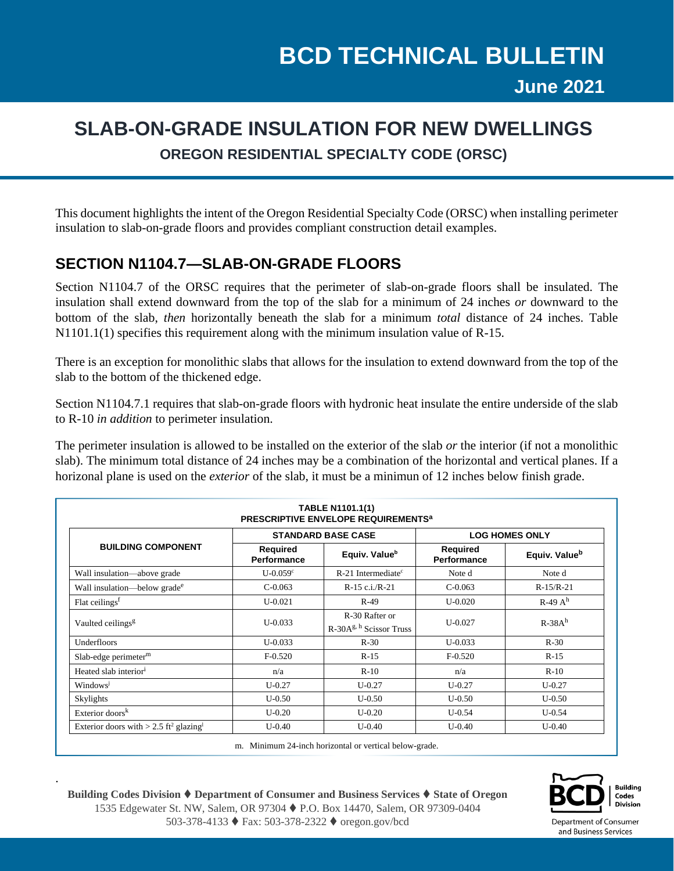## **SLAB-ON-GRADE INSULATION FOR NEW DWELLINGS OREGON RESIDENTIAL SPECIALTY CODE (ORSC)**

This document highlights the intent of the Oregon Residential Specialty Code (ORSC) when installing perimeter insulation to slab-on-grade floors and provides compliant construction detail examples.

## **SECTION N1104.7—SLAB-ON-GRADE FLOORS**

Section N1104.7 of the ORSC requires that the perimeter of slab-on-grade floors shall be insulated. The insulation shall extend downward from the top of the slab for a minimum of 24 inches *or* downward to the bottom of the slab, *then* horizontally beneath the slab for a minimum *total* distance of 24 inches. Table N1101.1(1) specifies this requirement along with the minimum insulation value of R-15.

There is an exception for monolithic slabs that allows for the insulation to extend downward from the top of the slab to the bottom of the thickened edge.

Section N1104.7.1 requires that slab-on-grade floors with hydronic heat insulate the entire underside of the slab to R-10 *in addition* to perimeter insulation.

The perimeter insulation is allowed to be installed on the exterior of the slab *or* the interior (if not a monolithic slab). The minimum total distance of 24 inches may be a combination of the horizontal and vertical planes. If a horizonal plane is used on the *exterior* of the slab, it must be a minimun of 12 inches below finish grade.

| <b>TABLE N1101.1(1)</b><br><b>PRESCRIPTIVE ENVELOPE REQUIREMENTS<sup>a</sup></b> |                           |                                             |                                |                           |
|----------------------------------------------------------------------------------|---------------------------|---------------------------------------------|--------------------------------|---------------------------|
| <b>BUILDING COMPONENT</b>                                                        | <b>STANDARD BASE CASE</b> |                                             | <b>LOG HOMES ONLY</b>          |                           |
|                                                                                  | Required<br>Performance   | Equiv. Value <sup>b</sup>                   | <b>Required</b><br>Performance | Equiv. Value <sup>b</sup> |
| Wall insulation-above grade                                                      | $U-0.059c$                | $R-21$ Intermediate <sup>c</sup>            | Note d                         | Note d                    |
| Wall insulation—below grade <sup>e</sup>                                         | $C-0.063$                 | $R-15$ c.i./ $R-21$                         | $C-0.063$                      | $R-15/R-21$               |
| Flat ceilings <sup>f</sup>                                                       | $U - 0.021$               | $R-49$                                      | $U-0.020$                      | $R-49A^h$                 |
| Vaulted ceilings <sup>g</sup>                                                    | $U - 0.033$               | R-30 Rafter or<br>$R-30Ag, h$ Scissor Truss | $U - 0.027$                    | $R-38Ah$                  |
| Underfloors                                                                      | $U - 0.033$               | $R-30$                                      | $U - 0.033$                    | $R-30$                    |
| Slab-edge perimeter <sup>m</sup>                                                 | $F-0.520$                 | $R-15$                                      | $F-0.520$                      | $R-15$                    |
| Heated slab interior <sup>i</sup>                                                | n/a                       | $R-10$                                      | n/a                            | $R-10$                    |
| Windows                                                                          | $U-0.27$                  | $U-0.27$                                    | $U - 0.27$                     | $U-0.27$                  |
| Skylights                                                                        | $U-0.50$                  | $U-0.50$                                    | $U-0.50$                       | $U-0.50$                  |
| Exterior doors <sup><math>k</math></sup>                                         | $U-0.20$                  | $U-0.20$                                    | $U-0.54$                       | $U-0.54$                  |
| Exterior doors with $> 2.5$ ft <sup>2</sup> glazing <sup>1</sup>                 | $U-0.40$                  | $U-0.40$                                    | $U - 0.40$                     | $U-0.40$                  |

m. Minimum 24-inch horizontal or vertical below-grade.



.



Department of Consumer and Business Services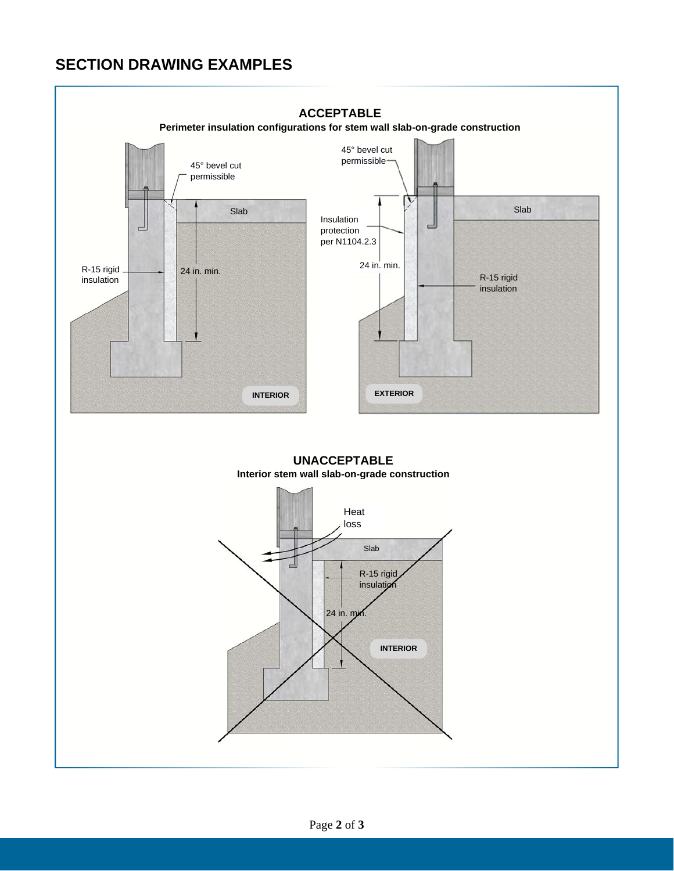## **SECTION DRAWING EXAMPLES**



**UNACCEPTABLE Interior stem wall slab-on-grade construction**